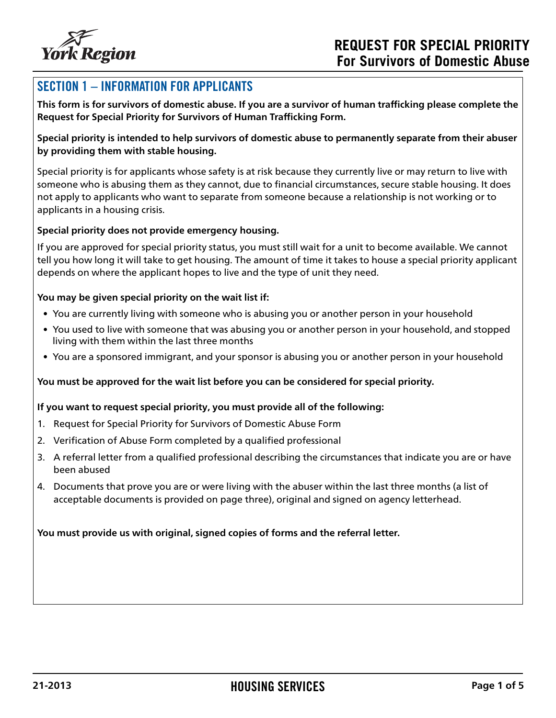

### SECTION 1 – INFORMATION FOR APPLICANTS

**This form is for survivors of domestic abuse. If you are a survivor of human trafficking please complete the Request for Special Priority for Survivors of Human Trafficking Form.**

**Special priority is intended to help survivors of domestic abuse to permanently separate from their abuser by providing them with stable housing.** 

Special priority is for applicants whose safety is at risk because they currently live or may return to live with someone who is abusing them as they cannot, due to financial circumstances, secure stable housing. It does not apply to applicants who want to separate from someone because a relationship is not working or to applicants in a housing crisis.

#### **Special priority does not provide emergency housing.**

If you are approved for special priority status, you must still wait for a unit to become available. We cannot tell you how long it will take to get housing. The amount of time it takes to house a special priority applicant depends on where the applicant hopes to live and the type of unit they need.

#### **You may be given special priority on the wait list if:**

- You are currently living with someone who is abusing you or another person in your household
- You used to live with someone that was abusing you or another person in your household, and stopped living with them within the last three months
- You are a sponsored immigrant, and your sponsor is abusing you or another person in your household

#### **You must be approved for the wait list before you can be considered for special priority.**

#### **If you want to request special priority, you must provide all of the following:**

- 1. Request for Special Priority for Survivors of Domestic Abuse Form
- 2. Verification of Abuse Form completed by a qualified professional
- 3. A referral letter from a qualified professional describing the circumstances that indicate you are or have been abused
- 4. Documents that prove you are or were living with the abuser within the last three months (a list of acceptable documents is provided on page three), original and signed on agency letterhead.

#### **You must provide us with original, signed copies of forms and the referral letter.**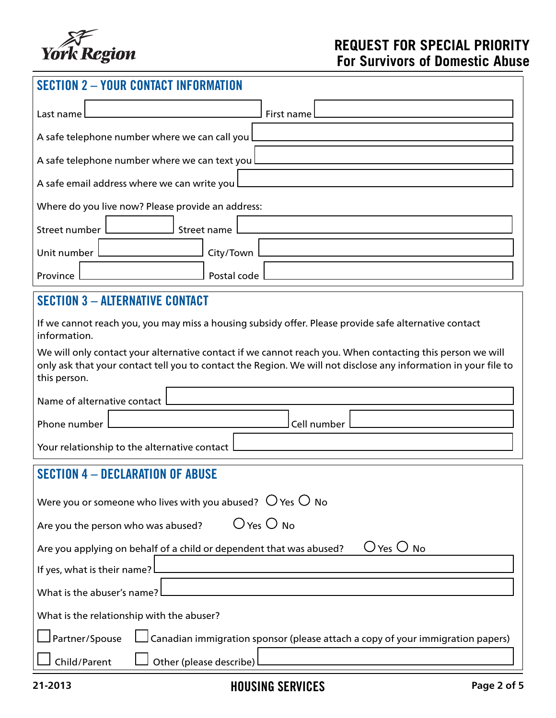

### **REQUEST FOR SPECIAL PRIORITY For Survivors of Domestic Abuse**

# SECTION 2 – YOUR CONTACT INFORMATION

| First name L<br>Last name                         |  |  |  |  |
|---------------------------------------------------|--|--|--|--|
| A safe telephone number where we can call you L   |  |  |  |  |
| A safe telephone number where we can text you L   |  |  |  |  |
| A safe email address where we can write you L     |  |  |  |  |
| Where do you live now? Please provide an address: |  |  |  |  |
| Street number I<br>Street name                    |  |  |  |  |
| Unit number<br>City/Town                          |  |  |  |  |
| Postal code<br>Province                           |  |  |  |  |

### SECTION 3 – ALTERNATIVE CONTACT

| If we cannot reach you, you may miss a housing subsidy offer. Please provide safe alternative contact<br>information. |
|-----------------------------------------------------------------------------------------------------------------------|
| We will only contact your alternative contact if we cannot reach you. When contacting this person we will             |
| only ask that your contact tell you to contact the Region. We will not disclose any information in your file to       |

| Name of alternative contact [<br>] Cell number | this person. |  |  |  |  |  |  |  |  |
|------------------------------------------------|--------------|--|--|--|--|--|--|--|--|
| Phone number                                   |              |  |  |  |  |  |  |  |  |
|                                                |              |  |  |  |  |  |  |  |  |

Your relationship to the alternative contact

## SECTION 4 – DECLARATION OF ABUSE

| Were you or someone who lives with you abused? $\bigcirc$ Yes $\bigcirc$ No                       |  |  |  |  |  |
|---------------------------------------------------------------------------------------------------|--|--|--|--|--|
| $O$ Yes $O$ No<br>Are you the person who was abused?                                              |  |  |  |  |  |
| $O$ Yes $O$ No<br>Are you applying on behalf of a child or dependent that was abused?             |  |  |  |  |  |
| If yes, what is their name?                                                                       |  |  |  |  |  |
| What is the abuser's name?                                                                        |  |  |  |  |  |
| What is the relationship with the abuser?                                                         |  |  |  |  |  |
| Partner/Spouse Log Canadian immigration sponsor (please attach a copy of your immigration papers) |  |  |  |  |  |
| $\Box$ Other (please describe)<br>Child/Parent                                                    |  |  |  |  |  |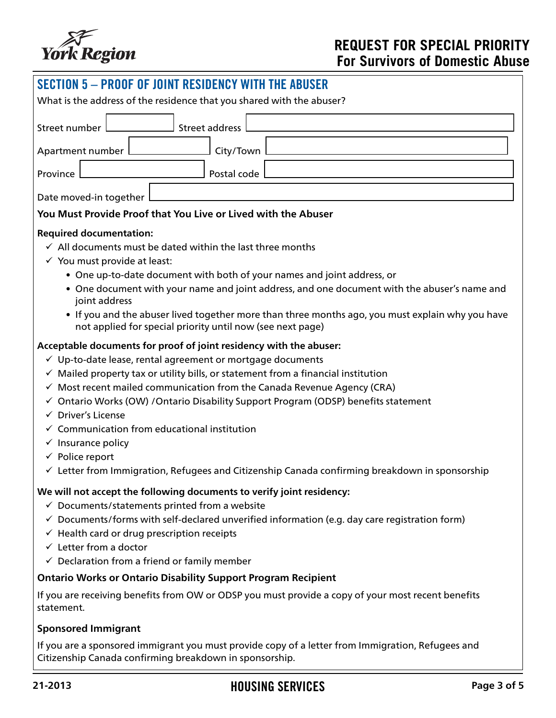

| <b>SECTION 5 - PROOF OF JOINT RESIDENCY WITH THE ABUSER</b>                                                                                                    |  |  |  |  |  |  |
|----------------------------------------------------------------------------------------------------------------------------------------------------------------|--|--|--|--|--|--|
| What is the address of the residence that you shared with the abuser?                                                                                          |  |  |  |  |  |  |
|                                                                                                                                                                |  |  |  |  |  |  |
| <b>Street address</b><br>Street number                                                                                                                         |  |  |  |  |  |  |
| City/Town<br>Apartment number                                                                                                                                  |  |  |  |  |  |  |
| Postal code<br>Province                                                                                                                                        |  |  |  |  |  |  |
| Date moved-in together                                                                                                                                         |  |  |  |  |  |  |
| You Must Provide Proof that You Live or Lived with the Abuser                                                                                                  |  |  |  |  |  |  |
| <b>Required documentation:</b>                                                                                                                                 |  |  |  |  |  |  |
| $\checkmark$ All documents must be dated within the last three months                                                                                          |  |  |  |  |  |  |
| $\checkmark$ You must provide at least:                                                                                                                        |  |  |  |  |  |  |
| • One up-to-date document with both of your names and joint address, or                                                                                        |  |  |  |  |  |  |
| • One document with your name and joint address, and one document with the abuser's name and<br>joint address                                                  |  |  |  |  |  |  |
| • If you and the abuser lived together more than three months ago, you must explain why you have<br>not applied for special priority until now (see next page) |  |  |  |  |  |  |
| Acceptable documents for proof of joint residency with the abuser:                                                                                             |  |  |  |  |  |  |
| √ Up-to-date lease, rental agreement or mortgage documents                                                                                                     |  |  |  |  |  |  |
| $\checkmark$ Mailed property tax or utility bills, or statement from a financial institution                                                                   |  |  |  |  |  |  |
| $\checkmark$ Most recent mailed communication from the Canada Revenue Agency (CRA)                                                                             |  |  |  |  |  |  |
| √ Ontario Works (OW) / Ontario Disability Support Program (ODSP) benefits statement                                                                            |  |  |  |  |  |  |
| $\checkmark$ Driver's License                                                                                                                                  |  |  |  |  |  |  |
| $\checkmark$ Communication from educational institution                                                                                                        |  |  |  |  |  |  |
| $\checkmark$ Insurance policy                                                                                                                                  |  |  |  |  |  |  |
| $\checkmark$ Police report                                                                                                                                     |  |  |  |  |  |  |
| $\checkmark$ Letter from Immigration, Refugees and Citizenship Canada confirming breakdown in sponsorship                                                      |  |  |  |  |  |  |
| We will not accept the following documents to verify joint residency:                                                                                          |  |  |  |  |  |  |
| $\checkmark$ Documents/statements printed from a website                                                                                                       |  |  |  |  |  |  |
| $\checkmark$ Documents/forms with self-declared unverified information (e.g. day care registration form)                                                       |  |  |  |  |  |  |
| $\checkmark$ Health card or drug prescription receipts                                                                                                         |  |  |  |  |  |  |
| $\checkmark$ Letter from a doctor                                                                                                                              |  |  |  |  |  |  |
| $\checkmark$ Declaration from a friend or family member                                                                                                        |  |  |  |  |  |  |
| <b>Ontario Works or Ontario Disability Support Program Recipient</b>                                                                                           |  |  |  |  |  |  |
| If you are receiving benefits from OW or ODSP you must provide a copy of your most recent benefits<br>statement.                                               |  |  |  |  |  |  |
| <b>Sponsored Immigrant</b>                                                                                                                                     |  |  |  |  |  |  |

If you are a sponsored immigrant you must provide copy of a letter from Immigration, Refugees and Citizenship Canada confirming breakdown in sponsorship.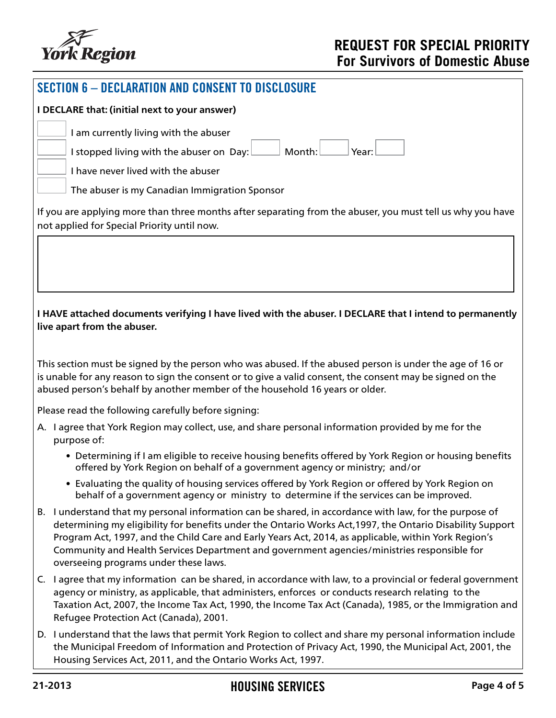

| <b>SECTION 6 - DECLARATION AND CONSENT TO DISCLOSURE</b>                                                                                                                                                                                                                                              |                                                                                                                                                                                                                                                                                                                                                                                                                                                                     |  |  |  |  |  |  |
|-------------------------------------------------------------------------------------------------------------------------------------------------------------------------------------------------------------------------------------------------------------------------------------------------------|---------------------------------------------------------------------------------------------------------------------------------------------------------------------------------------------------------------------------------------------------------------------------------------------------------------------------------------------------------------------------------------------------------------------------------------------------------------------|--|--|--|--|--|--|
|                                                                                                                                                                                                                                                                                                       | I DECLARE that: (initial next to your answer)                                                                                                                                                                                                                                                                                                                                                                                                                       |  |  |  |  |  |  |
|                                                                                                                                                                                                                                                                                                       | I am currently living with the abuser<br>Month:<br>Year:<br>I stopped living with the abuser on Day:<br>I have never lived with the abuser                                                                                                                                                                                                                                                                                                                          |  |  |  |  |  |  |
|                                                                                                                                                                                                                                                                                                       | The abuser is my Canadian Immigration Sponsor<br>If you are applying more than three months after separating from the abuser, you must tell us why you have                                                                                                                                                                                                                                                                                                         |  |  |  |  |  |  |
|                                                                                                                                                                                                                                                                                                       | not applied for Special Priority until now.                                                                                                                                                                                                                                                                                                                                                                                                                         |  |  |  |  |  |  |
|                                                                                                                                                                                                                                                                                                       |                                                                                                                                                                                                                                                                                                                                                                                                                                                                     |  |  |  |  |  |  |
|                                                                                                                                                                                                                                                                                                       | I HAVE attached documents verifying I have lived with the abuser. I DECLARE that I intend to permanently<br>live apart from the abuser.                                                                                                                                                                                                                                                                                                                             |  |  |  |  |  |  |
| This section must be signed by the person who was abused. If the abused person is under the age of 16 or<br>is unable for any reason to sign the consent or to give a valid consent, the consent may be signed on the<br>abused person's behalf by another member of the household 16 years or older. |                                                                                                                                                                                                                                                                                                                                                                                                                                                                     |  |  |  |  |  |  |
|                                                                                                                                                                                                                                                                                                       | Please read the following carefully before signing:                                                                                                                                                                                                                                                                                                                                                                                                                 |  |  |  |  |  |  |
|                                                                                                                                                                                                                                                                                                       | A. I agree that York Region may collect, use, and share personal information provided by me for the<br>purpose of:                                                                                                                                                                                                                                                                                                                                                  |  |  |  |  |  |  |
|                                                                                                                                                                                                                                                                                                       | • Determining if I am eligible to receive housing benefits offered by York Region or housing benefits<br>offered by York Region on behalf of a government agency or ministry; and/or                                                                                                                                                                                                                                                                                |  |  |  |  |  |  |
|                                                                                                                                                                                                                                                                                                       | • Evaluating the quality of housing services offered by York Region or offered by York Region on<br>behalf of a government agency or ministry to determine if the services can be improved.                                                                                                                                                                                                                                                                         |  |  |  |  |  |  |
|                                                                                                                                                                                                                                                                                                       | B. I understand that my personal information can be shared, in accordance with law, for the purpose of<br>determining my eligibility for benefits under the Ontario Works Act, 1997, the Ontario Disability Support<br>Program Act, 1997, and the Child Care and Early Years Act, 2014, as applicable, within York Region's<br>Community and Health Services Department and government agencies/ministries responsible for<br>overseeing programs under these laws. |  |  |  |  |  |  |
|                                                                                                                                                                                                                                                                                                       | C. I agree that my information can be shared, in accordance with law, to a provincial or federal government<br>agency or ministry, as applicable, that administers, enforces or conducts research relating to the<br>Taxation Act, 2007, the Income Tax Act, 1990, the Income Tax Act (Canada), 1985, or the Immigration and<br>Refugee Protection Act (Canada), 2001.                                                                                              |  |  |  |  |  |  |
|                                                                                                                                                                                                                                                                                                       | D. I understand that the laws that permit York Region to collect and share my personal information include<br>the Municipal Freedom of Information and Protection of Privacy Act, 1990, the Municipal Act, 2001, the<br>Housing Services Act, 2011, and the Ontario Works Act, 1997.                                                                                                                                                                                |  |  |  |  |  |  |